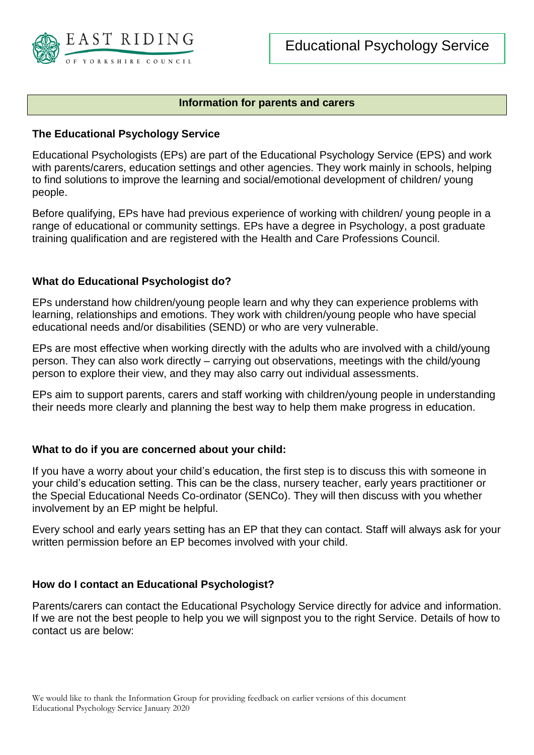

## **Information for parents and carers**

### **The Educational Psychology Service**

Educational Psychologists (EPs) are part of the Educational Psychology Service (EPS) and work with parents/carers, education settings and other agencies. They work mainly in schools, helping to find solutions to improve the learning and social/emotional development of children/ young people.

Before qualifying, EPs have had previous experience of working with children/ young people in a range of educational or community settings. EPs have a degree in Psychology, a post graduate training qualification and are registered with the Health and Care Professions Council.

### **What do Educational Psychologist do?**

EPs understand how children/young people learn and why they can experience problems with learning, relationships and emotions. They work with children/young people who have special educational needs and/or disabilities (SEND) or who are very vulnerable.

EPs are most effective when working directly with the adults who are involved with a child/young person. They can also work directly – carrying out observations, meetings with the child/young person to explore their view, and they may also carry out individual assessments.

EPs aim to support parents, carers and staff working with children/young people in understanding their needs more clearly and planning the best way to help them make progress in education.

#### **What to do if you are concerned about your child:**

If you have a worry about your child's education, the first step is to discuss this with someone in your child's education setting. This can be the class, nursery teacher, early years practitioner or the Special Educational Needs Co-ordinator (SENCo). They will then discuss with you whether involvement by an EP might be helpful.

Every school and early years setting has an EP that they can contact. Staff will always ask for your written permission before an EP becomes involved with your child.

# **How do I contact an Educational Psychologist?**

Parents/carers can contact the Educational Psychology Service directly for advice and information. If we are not the best people to help you we will signpost you to the right Service. Details of how to contact us are below: